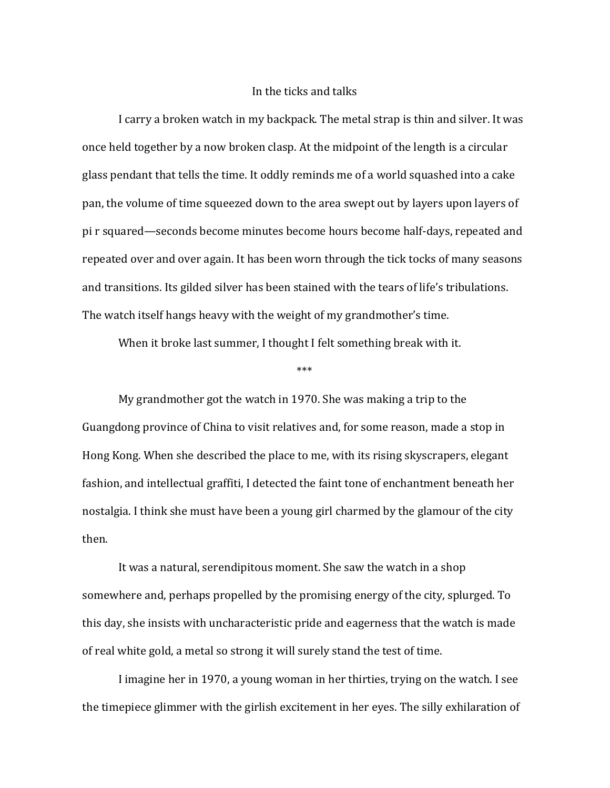## In the ticks and talks

I carry a broken watch in my backpack. The metal strap is thin and silver. It was once held together by a now broken clasp. At the midpoint of the length is a circular glass pendant that tells the time. It oddly reminds me of a world squashed into a cake pan, the volume of time squeezed down to the area swept out by layers upon layers of pi r squared—seconds become minutes become hours become half-days, repeated and repeated over and over again. It has been worn through the tick tocks of many seasons and transitions. Its gilded silver has been stained with the tears of life's tribulations. The watch itself hangs heavy with the weight of my grandmother's time.

When it broke last summer, I thought I felt something break with it.

\*\*\*

My grandmother got the watch in 1970. She was making a trip to the Guangdong province of China to visit relatives and, for some reason, made a stop in Hong Kong. When she described the place to me, with its rising skyscrapers, elegant fashion, and intellectual graffiti, I detected the faint tone of enchantment beneath her nostalgia. I think she must have been a young girl charmed by the glamour of the city then. 

It was a natural, serendipitous moment. She saw the watch in a shop somewhere and, perhaps propelled by the promising energy of the city, splurged. To this day, she insists with uncharacteristic pride and eagerness that the watch is made of real white gold, a metal so strong it will surely stand the test of time.

I imagine her in 1970, a young woman in her thirties, trying on the watch. I see the timepiece glimmer with the girlish excitement in her eyes. The silly exhilaration of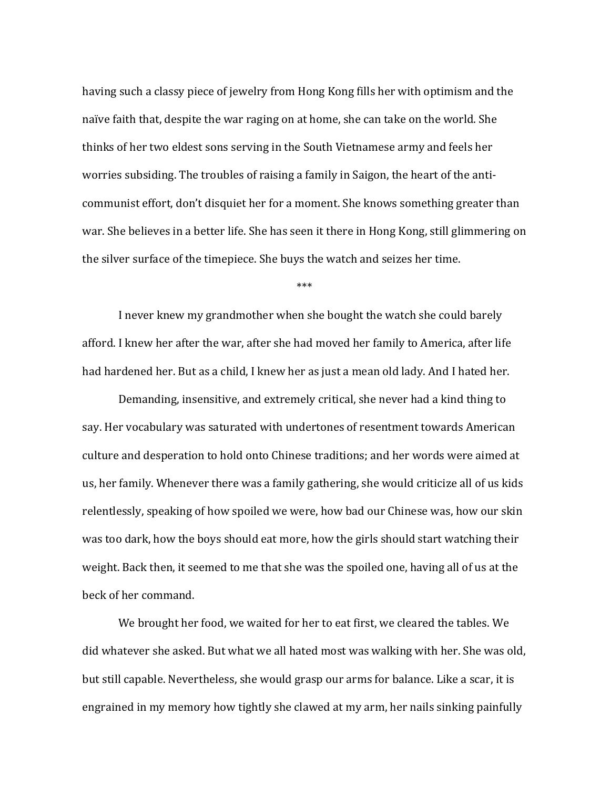having such a classy piece of jewelry from Hong Kong fills her with optimism and the naïve faith that, despite the war raging on at home, she can take on the world. She thinks of her two eldest sons serving in the South Vietnamese army and feels her worries subsiding. The troubles of raising a family in Saigon, the heart of the anticommunist effort, don't disquiet her for a moment. She knows something greater than war. She believes in a better life. She has seen it there in Hong Kong, still glimmering on the silver surface of the timepiece. She buys the watch and seizes her time.

\*\*\*

I never knew my grandmother when she bought the watch she could barely afford. I knew her after the war, after she had moved her family to America, after life had hardened her. But as a child, I knew her as just a mean old lady. And I hated her.

Demanding, insensitive, and extremely critical, she never had a kind thing to say. Her vocabulary was saturated with undertones of resentment towards American culture and desperation to hold onto Chinese traditions; and her words were aimed at us, her family. Whenever there was a family gathering, she would criticize all of us kids relentlessly, speaking of how spoiled we were, how bad our Chinese was, how our skin was too dark, how the boys should eat more, how the girls should start watching their weight. Back then, it seemed to me that she was the spoiled one, having all of us at the beck of her command.

We brought her food, we waited for her to eat first, we cleared the tables. We did whatever she asked. But what we all hated most was walking with her. She was old, but still capable. Nevertheless, she would grasp our arms for balance. Like a scar, it is engrained in my memory how tightly she clawed at my arm, her nails sinking painfully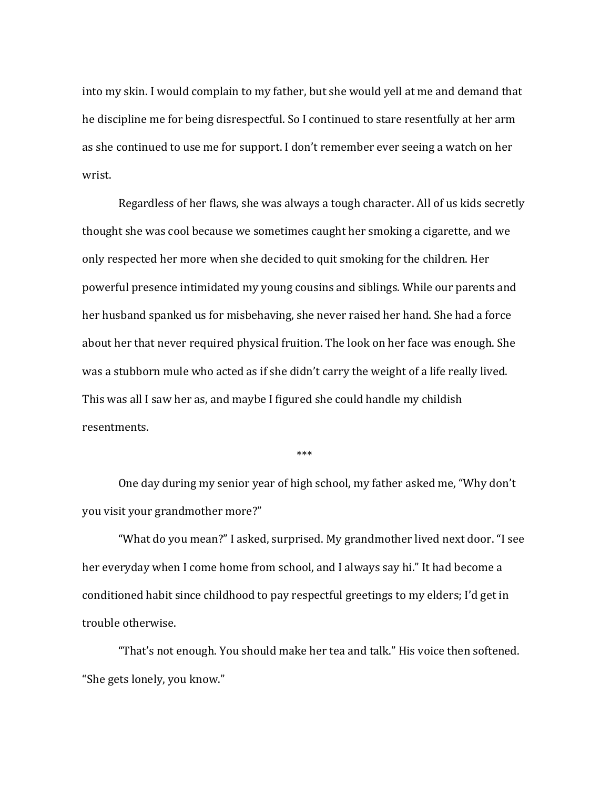into my skin. I would complain to my father, but she would yell at me and demand that he discipline me for being disrespectful. So I continued to stare resentfully at her arm as she continued to use me for support. I don't remember ever seeing a watch on her wrist.

Regardless of her flaws, she was always a tough character. All of us kids secretly thought she was cool because we sometimes caught her smoking a cigarette, and we only respected her more when she decided to quit smoking for the children. Her powerful presence intimidated my young cousins and siblings. While our parents and her husband spanked us for misbehaving, she never raised her hand. She had a force about her that never required physical fruition. The look on her face was enough. She was a stubborn mule who acted as if she didn't carry the weight of a life really lived. This was all I saw her as, and maybe I figured she could handle my childish resentments.

\*\*\*

One day during my senior year of high school, my father asked me, "Why don't you visit your grandmother more?"

"What do you mean?" I asked, surprised. My grandmother lived next door. "I see her everyday when I come home from school, and I always say hi." It had become a conditioned habit since childhood to pay respectful greetings to my elders; I'd get in trouble otherwise.

"That's not enough. You should make her tea and talk." His voice then softened. "She gets lonely, you know."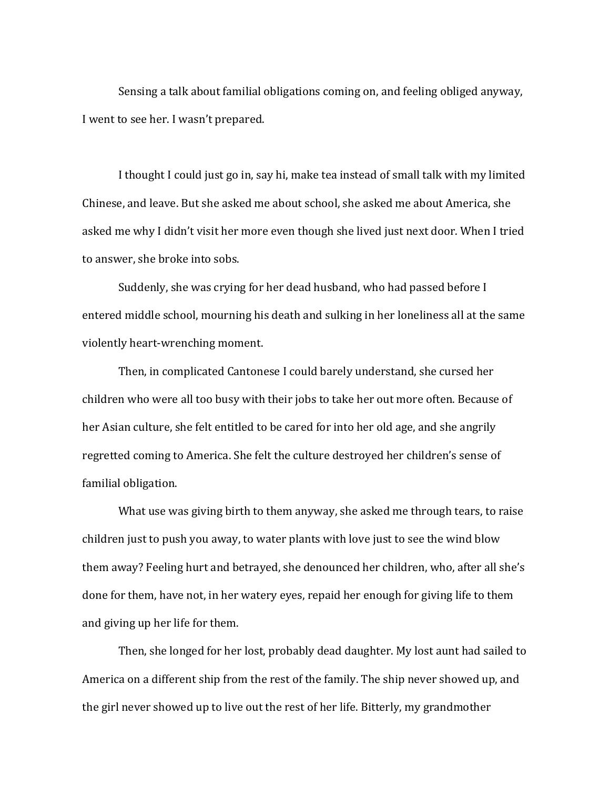Sensing a talk about familial obligations coming on, and feeling obliged anyway, I went to see her. I wasn't prepared.

I thought I could just go in, say hi, make tea instead of small talk with my limited Chinese, and leave. But she asked me about school, she asked me about America, she asked me why I didn't visit her more even though she lived just next door. When I tried to answer, she broke into sobs.

Suddenly, she was crying for her dead husband, who had passed before I entered middle school, mourning his death and sulking in her loneliness all at the same violently heart-wrenching moment.

Then, in complicated Cantonese I could barely understand, she cursed her children who were all too busy with their jobs to take her out more often. Because of her Asian culture, she felt entitled to be cared for into her old age, and she angrily regretted coming to America. She felt the culture destroyed her children's sense of familial obligation.

What use was giving birth to them anyway, she asked me through tears, to raise children just to push you away, to water plants with love just to see the wind blow them away? Feeling hurt and betrayed, she denounced her children, who, after all she's done for them, have not, in her watery eyes, repaid her enough for giving life to them and giving up her life for them.

Then, she longed for her lost, probably dead daughter. My lost aunt had sailed to America on a different ship from the rest of the family. The ship never showed up, and the girl never showed up to live out the rest of her life. Bitterly, my grandmother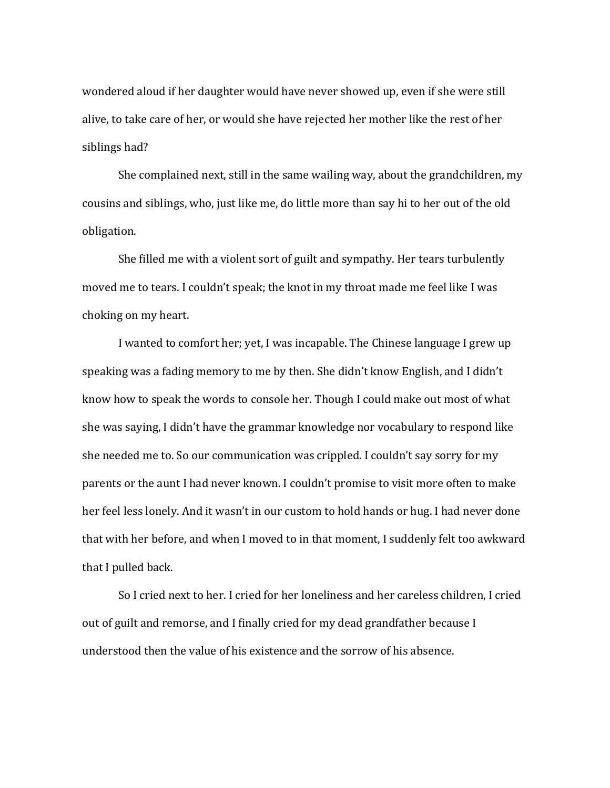wondered aloud if her daughter would have never showed up, even if she were still alive, to take care of her, or would she have rejected her mother like the rest of her siblings had?

She complained next, still in the same wailing way, about the grandchildren, my cousins and siblings, who, just like me, do little more than say hi to her out of the old obligation.

She filled me with a violent sort of guilt and sympathy. Her tears turbulently moved me to tears. I couldn't speak; the knot in my throat made me feel like I was choking on my heart.

I wanted to comfort her; yet, I was incapable. The Chinese language I grew up speaking was a fading memory to me by then. She didn't know English, and I didn't know how to speak the words to console her. Though I could make out most of what she was saying, I didn't have the grammar knowledge nor vocabulary to respond like she needed me to. So our communication was crippled. I couldn't say sorry for my parents or the aunt I had never known. I couldn't promise to visit more often to make her feel less lonely. And it wasn't in our custom to hold hands or hug. I had never done that with her before, and when I moved to in that moment, I suddenly felt too awkward that I pulled back.

So I cried next to her. I cried for her loneliness and her careless children, I cried out of guilt and remorse, and I finally cried for my dead grandfather because I understood then the value of his existence and the sorrow of his absence.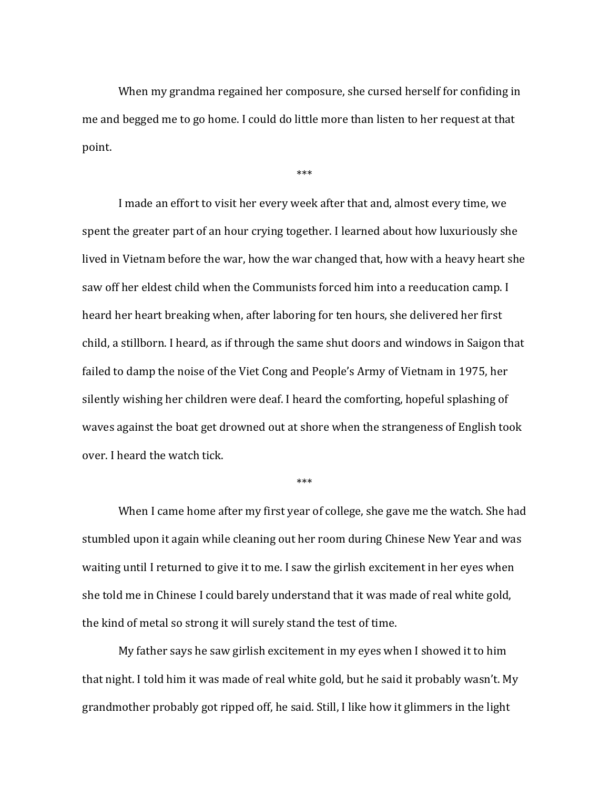When my grandma regained her composure, she cursed herself for confiding in me and begged me to go home. I could do little more than listen to her request at that point. 

\*\*\*

I made an effort to visit her every week after that and, almost every time, we spent the greater part of an hour crying together. I learned about how luxuriously she lived in Vietnam before the war, how the war changed that, how with a heavy heart she saw off her eldest child when the Communists forced him into a reeducation camp. I heard her heart breaking when, after laboring for ten hours, she delivered her first child, a stillborn. I heard, as if through the same shut doors and windows in Saigon that failed to damp the noise of the Viet Cong and People's Army of Vietnam in 1975, her silently wishing her children were deaf. I heard the comforting, hopeful splashing of waves against the boat get drowned out at shore when the strangeness of English took over. I heard the watch tick.

\*\*\*

When I came home after my first year of college, she gave me the watch. She had stumbled upon it again while cleaning out her room during Chinese New Year and was waiting until I returned to give it to me. I saw the girlish excitement in her eyes when she told me in Chinese I could barely understand that it was made of real white gold, the kind of metal so strong it will surely stand the test of time.

My father says he saw girlish excitement in my eyes when I showed it to him that night. I told him it was made of real white gold, but he said it probably wasn't. My grandmother probably got ripped off, he said. Still, I like how it glimmers in the light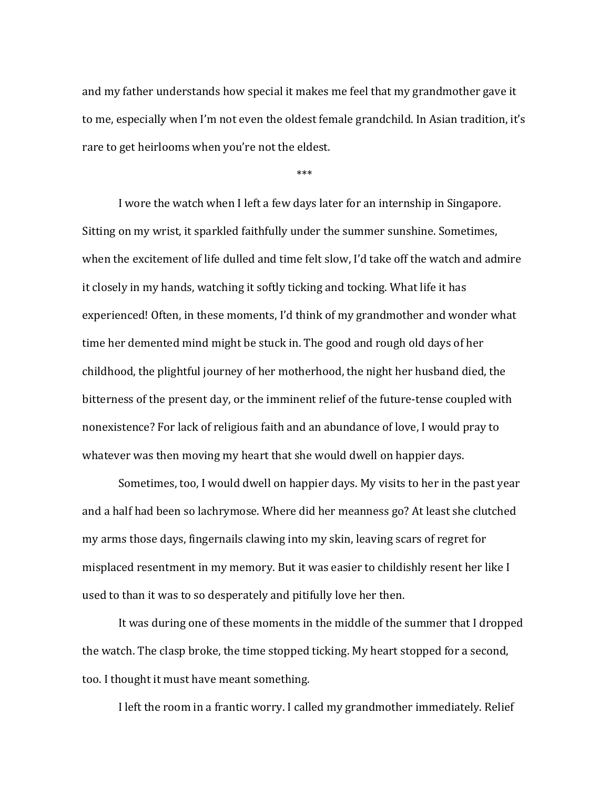and my father understands how special it makes me feel that my grandmother gave it to me, especially when I'm not even the oldest female grandchild. In Asian tradition, it's rare to get heirlooms when you're not the eldest.

\*\*\*

I wore the watch when I left a few days later for an internship in Singapore. Sitting on my wrist, it sparkled faithfully under the summer sunshine. Sometimes, when the excitement of life dulled and time felt slow, I'd take off the watch and admire it closely in my hands, watching it softly ticking and tocking. What life it has experienced! Often, in these moments, I'd think of my grandmother and wonder what time her demented mind might be stuck in. The good and rough old days of her childhood, the plightful journey of her motherhood, the night her husband died, the bitterness of the present day, or the imminent relief of the future-tense coupled with nonexistence? For lack of religious faith and an abundance of love, I would pray to whatever was then moving my heart that she would dwell on happier days.

Sometimes, too, I would dwell on happier days. My visits to her in the past year and a half had been so lachrymose. Where did her meanness go? At least she clutched my arms those days, fingernails clawing into my skin, leaving scars of regret for misplaced resentment in my memory. But it was easier to childishly resent her like I used to than it was to so desperately and pitifully love her then.

It was during one of these moments in the middle of the summer that I dropped the watch. The clasp broke, the time stopped ticking. My heart stopped for a second, too. I thought it must have meant something.

I left the room in a frantic worry. I called my grandmother immediately. Relief